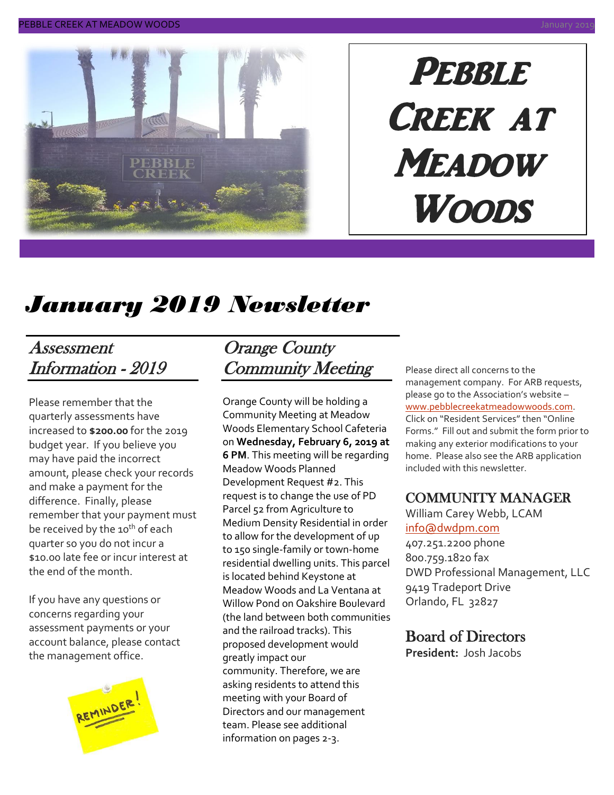

# **PEBBLE** CREEK AT **MEADOW Woods**

# *January 2019 Newsletter*

### Assessment Information - 2019

Please remember that the quarterly assessments have increased to **\$200.00** for the 2019 budget year. If you believe you may have paid the incorrect amount, please check your records and make a payment for the difference. Finally, please remember that your payment must be received by the 10<sup>th</sup> of each quarter so you do not incur a \$10.00 late fee or incur interest at the end of the month.

If you have any questions or concerns regarding your assessment payments or your account balance, please contact the management office.



### Orange County Community Meeting

Orange County will be holding a Community Meeting at Meadow Woods Elementary School Cafeteria on **Wednesday, February 6, 2019 at 6 PM**. This meeting will be regarding Meadow Woods Planned Development Request #2. This request is to change the use of PD Parcel 52 from Agriculture to Medium Density Residential in order to allow for the development of up to 150 single-family or town-home residential dwelling units. This parcel is located behind Keystone at Meadow Woods and La Ventana at Willow Pond on Oakshire Boulevard (the land between both communities and the railroad tracks). This proposed development would greatly impact our community. Therefore, we are asking residents to attend this meeting with your Board of Directors and our management team. Please see additional information on pages 2-3.

Please direct all concerns to the management company. For ARB requests, please go to the Association's website – [www.pebblecreekatmeadowwoods.com.](http://www.pebblecreekatmeadowwoods.com/) Click on "Resident Services" then "Online Forms." Fill out and submit the form prior to making any exterior modifications to your home. Please also see the ARB application included with this newsletter.

### COMMUNITY MANAGER

William Carey Webb, LCAM [info@dwdpm.com](mailto:info@dwdpm.com)  407.251.2200 phone 800.759.1820 fax

DWD Professional Management, LLC 9419 Tradeport Drive Orlando, FL 32827

### Board of Directors

**President:** Josh Jacobs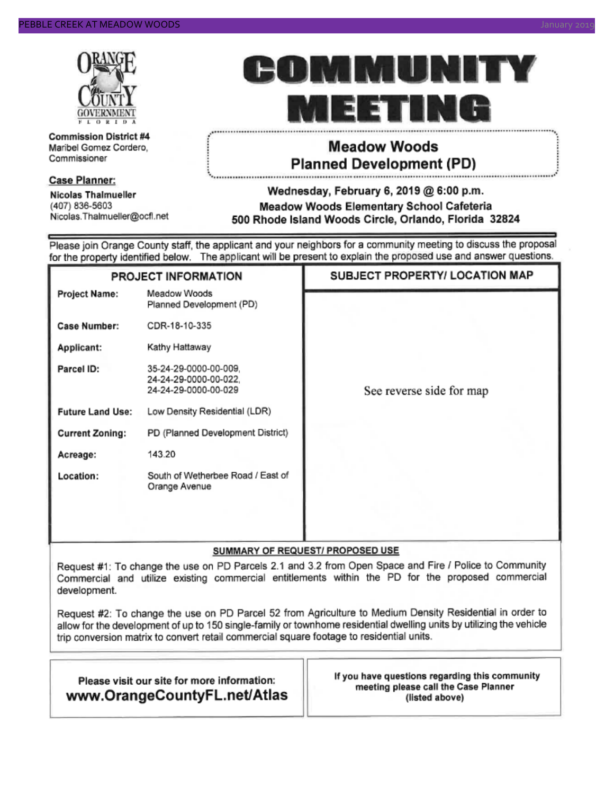

**Commission District #4** Maribel Gomez Cordero, Commissioner

### **Case Planner:**

**Nicolas Thalmueller** (407) 836-5603 Nicolas.Thalmueller@ocfl.net



### **Meadow Woods Planned Development (PD)**

#### Wednesday, February 6, 2019 @ 6:00 p.m. Meadow Woods Elementary School Cafeteria 500 Rhode Island Woods Circle, Orlando, Florida 32824

Please join Orange County staff, the applicant and your neighbors for a community meeting to discuss the proposal for the property identified below. The applicant will be present to explain the proposed use and answer questions.

| PROJECT INFORMATION     |                                                                        | SUBJECT PROPERTY/ LOCATION MAP |  |  |
|-------------------------|------------------------------------------------------------------------|--------------------------------|--|--|
| Project Name:           | Meadow Woods<br>Planned Development (PD)                               |                                |  |  |
| Case Number:            | CDR-18-10-335                                                          |                                |  |  |
| Applicant:              | Kathy Hattaway                                                         |                                |  |  |
| Parcel ID:              | 35-24-29-0000-00-009,<br>24-24-29-0000-00-022,<br>24-24-29-0000-00-029 | See reverse side for map       |  |  |
| <b>Future Land Use:</b> | Low Density Residential (LDR)                                          |                                |  |  |
| <b>Current Zoning:</b>  | PD (Planned Development District)                                      |                                |  |  |
| Acreage:                | 143.20                                                                 |                                |  |  |
| Location:               | South of Wetherbee Road / East of<br>Orange Avenue                     |                                |  |  |

### SUMMARY OF REQUEST/ PROPOSED USE

Request #1: To change the use on PD Parcels 2.1 and 3.2 from Open Space and Fire / Police to Community Commercial and utilize existing commercial entitlements within the PD for the proposed commercial development.

Request #2: To change the use on PD Parcel 52 from Agriculture to Medium Density Residential in order to allow for the development of up to 150 single-family or townhome residential dwelling units by utilizing the vehicle trip conversion matrix to convert retail commercial square footage to residential units.

| Please visit our site for more information: |  |
|---------------------------------------------|--|
| www.OrangeCountyFL.net/Atlas                |  |

If you have questions regarding this community meeting please call the Case Planner (listed above)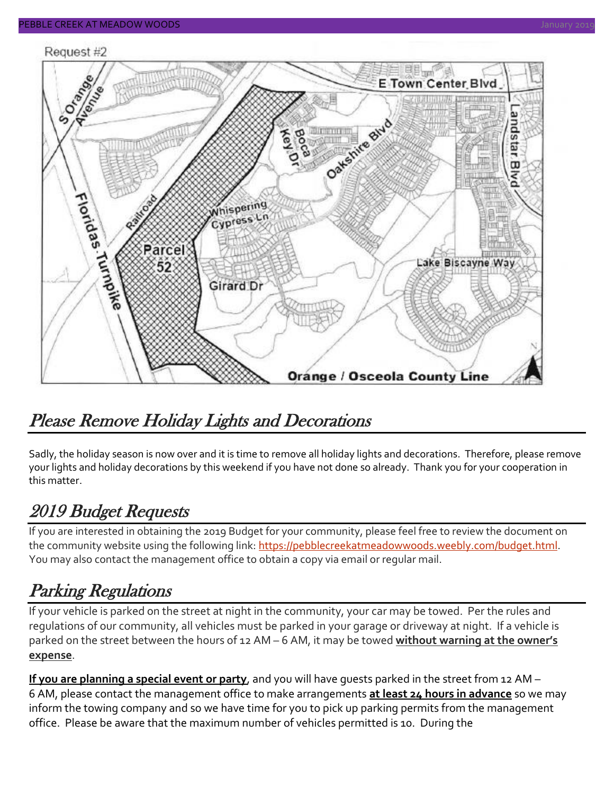#### Request #2



## Please Remove Holiday Lights and Decorations

Sadly, the holiday season is now over and it is time to remove all holiday lights and decorations. Therefore, please remove your lights and holiday decorations by this weekend if you have not done so already. Thank you for your cooperation in this matter.

## 2019 Budget Requests

If you are interested in obtaining the 2019 Budget for your community, please feel free to review the document on the community website using the following link: [https://pebblecreekatmeadowwoods.weebly.com/budget.html.](https://pebblecreekatmeadowwoods.weebly.com/budget.html) You may also contact the management office to obtain a copy via email or regular mail.

## Parking Regulations

If your vehicle is parked on the street at night in the community, your car may be towed. Per the rules and regulations of our community, all vehicles must be parked in your garage or driveway at night. If a vehicle is parked on the street between the hours of 12 AM – 6 AM, it may be towed **without warning at the owner's expense**.

**If you are planning a special event or party**, and you will have guests parked in the street from 12 AM – 6 AM, please contact the management office to make arrangements **at least 24 hours in advance** so we may inform the towing company and so we have time for you to pick up parking permits from the management office. Please be aware that the maximum number of vehicles permitted is 10. During the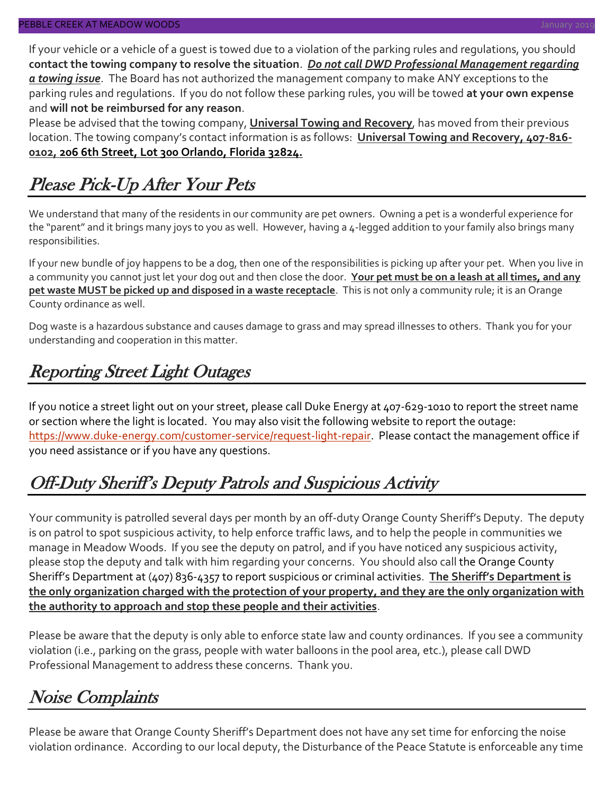If your vehicle or a vehicle of a guest is towed due to a violation of the parking rules and regulations, you should **contact the towing company to resolve the situation**. *Do not call DWD Professional Management regarding a towing issue*. The Board has not authorized the management company to make ANY exceptions to the parking rules and regulations. If you do not follow these parking rules, you will be towed **at your own expense** and **will not be reimbursed for any reason**.

Please be advised that the towing company, **Universal Towing and Recovery**, has moved from their previous location. The towing company's contact information is as follows: **Universal Towing and Recovery, 407-816- 0102, 206 6th Street, Lot 300 Orlando, Florida 32824.**

# Please Pick-Up After Your Pets

We understand that many of the residents in our community are pet owners. Owning a pet is a wonderful experience for the "parent" and it brings many joys to you as well. However, having a 4-legged addition to your family also brings many responsibilities.

If your new bundle of joy happens to be a dog, then one of the responsibilities is picking up after your pet. When you live in a community you cannot just let your dog out and then close the door. **Your pet must be on a leash at all times, and any pet waste MUST be picked up and disposed in a waste receptacle**. This is not only a community rule; it is an Orange County ordinance as well.

Dog waste is a hazardous substance and causes damage to grass and may spread illnesses to others. Thank you for your understanding and cooperation in this matter.

## Reporting Street Light Outages

If you notice a street light out on your street, please call Duke Energy at 407-629-1010 to report the street name or section where the light is located. You may also visit the following website to report the outage: [https://www.duke-energy.com/customer-service/request-light-repair.](https://www.duke-energy.com/customer-service/request-light-repair) Please contact the management office if you need assistance or if you have any questions.

# Off-Duty Sheriff's Deputy Patrols and Suspicious Activity

Your community is patrolled several days per month by an off-duty Orange County Sheriff's Deputy. The deputy is on patrol to spot suspicious activity, to help enforce traffic laws, and to help the people in communities we manage in Meadow Woods. If you see the deputy on patrol, and if you have noticed any suspicious activity, please stop the deputy and talk with him regarding your concerns. You should also call the Orange County Sheriff's Department at (407) 836-4357 to report suspicious or criminal activities. **The Sheriff's Department is the only organization charged with the protection of your property, and they are the only organization with the authority to approach and stop these people and their activities**.

Please be aware that the deputy is only able to enforce state law and county ordinances. If you see a community violation (i.e., parking on the grass, people with water balloons in the pool area, etc.), please call DWD Professional Management to address these concerns. Thank you.

# Noise Complaints

Please be aware that Orange County Sheriff's Department does not have any set time for enforcing the noise violation ordinance. According to our local deputy, the Disturbance of the Peace Statute is enforceable any time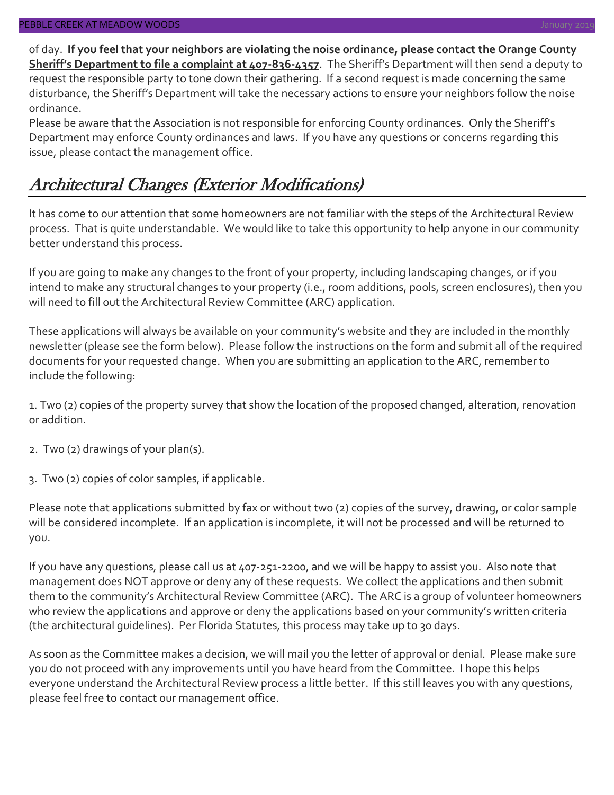of day. **If you feel that your neighbors are violating the noise ordinance, please contact the Orange County Sheriff's Department to file a complaint at 407-836-4357**. The Sheriff's Department will then send a deputy to request the responsible party to tone down their gathering. If a second request is made concerning the same disturbance, the Sheriff's Department will take the necessary actions to ensure your neighbors follow the noise ordinance.

Please be aware that the Association is not responsible for enforcing County ordinances. Only the Sheriff's Department may enforce County ordinances and laws. If you have any questions or concerns regarding this issue, please contact the management office.

# Architectural Changes (Exterior Modifications)

It has come to our attention that some homeowners are not familiar with the steps of the Architectural Review process. That is quite understandable. We would like to take this opportunity to help anyone in our community better understand this process.

If you are going to make any changes to the front of your property, including landscaping changes, or if you intend to make any structural changes to your property (i.e., room additions, pools, screen enclosures), then you will need to fill out the Architectural Review Committee (ARC) application.

These applications will always be available on your community's website and they are included in the monthly newsletter (please see the form below). Please follow the instructions on the form and submit all of the required documents for your requested change. When you are submitting an application to the ARC, remember to include the following:

1. Two (2) copies of the property survey that show the location of the proposed changed, alteration, renovation or addition.

- 2. Two (2) drawings of your plan(s).
- 3. Two (2) copies of color samples, if applicable.

Please note that applications submitted by fax or without two (2) copies of the survey, drawing, or color sample will be considered incomplete. If an application is incomplete, it will not be processed and will be returned to you.

If you have any questions, please call us at 407-251-2200, and we will be happy to assist you. Also note that management does NOT approve or deny any of these requests. We collect the applications and then submit them to the community's Architectural Review Committee (ARC). The ARC is a group of volunteer homeowners who review the applications and approve or deny the applications based on your community's written criteria (the architectural guidelines). Per Florida Statutes, this process may take up to 30 days.

As soon as the Committee makes a decision, we will mail you the letter of approval or denial. Please make sure you do not proceed with any improvements until you have heard from the Committee. I hope this helps everyone understand the Architectural Review process a little better. If this still leaves you with any questions, please feel free to contact our management office.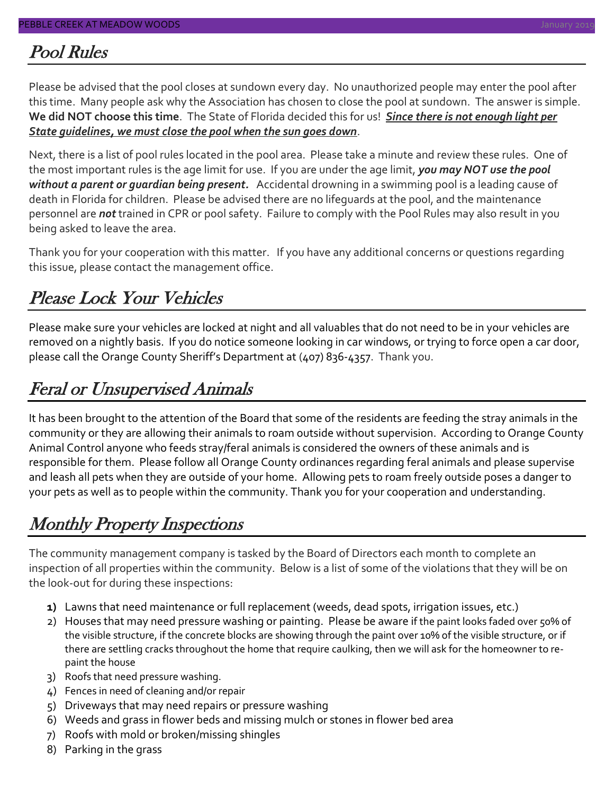### Pool Rules

Please be advised that the pool closes at sundown every day. No unauthorized people may enter the pool after this time. Many people ask why the Association has chosen to close the pool at sundown. The answer is simple. **We did NOT choose this time**. The State of Florida decided this for us! *Since there is not enough light per State guidelines, we must close the pool when the sun goes down*.

Next, there is a list of pool rules located in the pool area. Please take a minute and review these rules. One of the most important rules is the age limit for use. If you are under the age limit, *you may NOT use the pool without a parent or guardian being present.* Accidental drowning in a swimming pool is a leading cause of death in Florida for children. Please be advised there are no lifeguards at the pool, and the maintenance personnel are *not* trained in CPR or pool safety. Failure to comply with the Pool Rules may also result in you being asked to leave the area.

Thank you for your cooperation with this matter. If you have any additional concerns or questions regarding this issue, please contact the management office.

# Please Lock Your Vehicles

Please make sure your vehicles are locked at night and all valuables that do not need to be in your vehicles are removed on a nightly basis. If you do notice someone looking in car windows, or trying to force open a car door, please call the Orange County Sheriff's Department at (407) 836-4357. Thank you.

# Feral or Unsupervised Animals

It has been brought to the attention of the Board that some of the residents are feeding the stray animals in the community or they are allowing their animals to roam outside without supervision. According to Orange County Animal Control anyone who feeds stray/feral animals is considered the owners of these animals and is responsible for them. Please follow all Orange County ordinances regarding feral animals and please supervise and leash all pets when they are outside of your home. Allowing pets to roam freely outside poses a danger to your pets as well as to people within the community. Thank you for your cooperation and understanding.

# Monthly Property Inspections

The community management company is tasked by the Board of Directors each month to complete an inspection of all properties within the community. Below is a list of some of the violations that they will be on the look-out for during these inspections:

- **1)** Lawns that need maintenance or full replacement (weeds, dead spots, irrigation issues, etc.)
- 2) Houses that may need pressure washing or painting. Please be aware if the paint looks faded over 50% of the visible structure, if the concrete blocks are showing through the paint over 10% of the visible structure, or if there are settling cracks throughout the home that require caulking, then we will ask for the homeowner to repaint the house
- 3) Roofs that need pressure washing.
- 4) Fences in need of cleaning and/or repair
- 5) Driveways that may need repairs or pressure washing
- 6) Weeds and grass in flower beds and missing mulch or stones in flower bed area
- 7) Roofs with mold or broken/missing shingles
- 8) Parking in the grass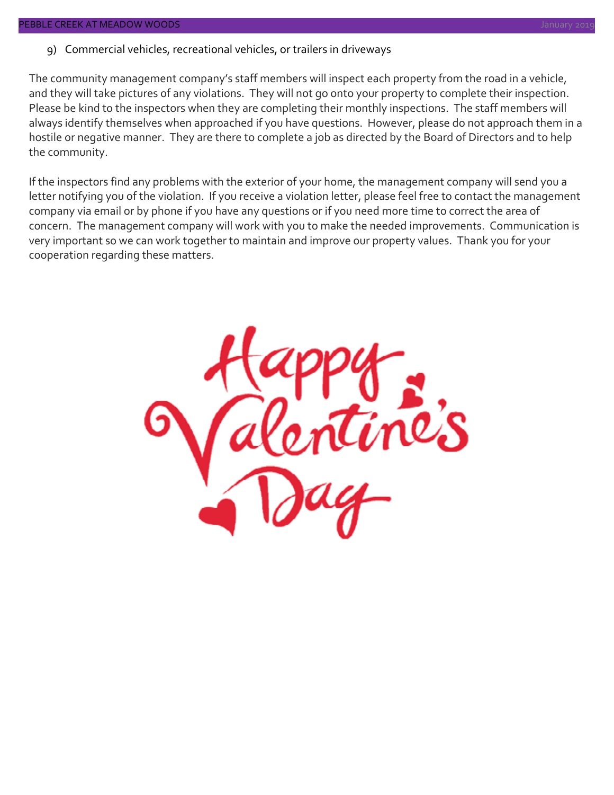The community management company's staff members will inspect each property from the road in a vehicle, and they will take pictures of any violations. They will not go onto your property to complete their inspection. Please be kind to the inspectors when they are completing their monthly inspections. The staff members will always identify themselves when approached if you have questions. However, please do not approach them in a hostile or negative manner. They are there to complete a job as directed by the Board of Directors and to help the community.

If the inspectors find any problems with the exterior of your home, the management company will send you a letter notifying you of the violation. If you receive a violation letter, please feel free to contact the management company via email or by phone if you have any questions or if you need more time to correct the area of concern. The management company will work with you to make the needed improvements. Communication is very important so we can work together to maintain and improve our property values. Thank you for your cooperation regarding these matters.

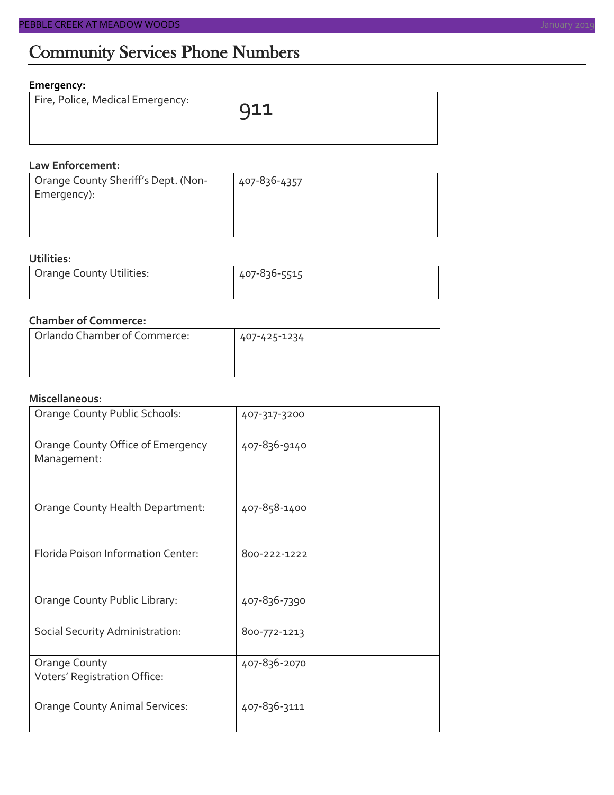### **Emergency:**

| Fire, Police, Medical Emergency: | $911$ |
|----------------------------------|-------|
|                                  |       |

#### **Law Enforcement:**

| Orange County Sheriff's Dept. (Non- | 407-836-4357 |
|-------------------------------------|--------------|
| Emergency):                         |              |
|                                     |              |
|                                     |              |

### **Utilities:**

| Orange County Utilities: | 407-836-5515 |  |  |
|--------------------------|--------------|--|--|
|                          |              |  |  |

### **Chamber of Commerce:**

| Orlando Chamber of Commerce: | 407-425-1234 |
|------------------------------|--------------|
|                              |              |

#### **Miscellaneous:**

| Orange County Public Schools:                    | 407-317-3200 |
|--------------------------------------------------|--------------|
| Orange County Office of Emergency<br>Management: | 407-836-9140 |
| Orange County Health Department:                 | 407-858-1400 |
| Florida Poison Information Center:               | 800-222-1222 |
| Orange County Public Library:                    | 407-836-7390 |
| Social Security Administration:                  | 800-772-1213 |
| Orange County<br>Voters' Registration Office:    | 407-836-2070 |
| <b>Orange County Animal Services:</b>            | 407-836-3111 |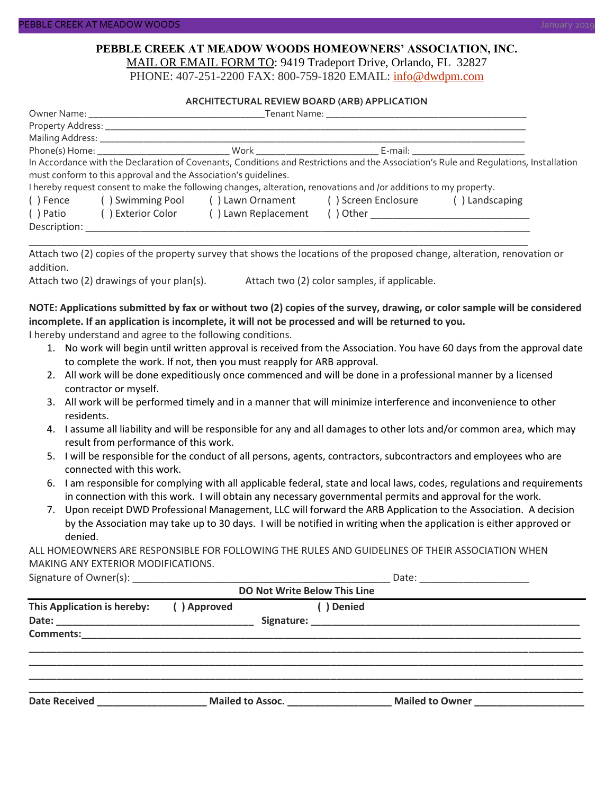#### **PEBBLE CREEK AT MEADOW WOODS HOMEOWNERS' ASSOCIATION, INC.** MAIL OR EMAIL FORM TO: 9419 Tradeport Drive, Orlando, FL 32827

PHONE: 407-251-2200 FAX: 800-759-1820 EMAIL: [info@dwdpm.com](mailto:info@dwdpm.com)

#### **ARCHITECTURAL REVIEW BOARD (ARB) APPLICATION**

|              |                                                                 | Phone(s) Home: Nork Work Now Work News Age of the United States of the United States of the United States of the United States of the United States of the United States of the United States of the United States of the Unit |                                                                                                                                       |
|--------------|-----------------------------------------------------------------|--------------------------------------------------------------------------------------------------------------------------------------------------------------------------------------------------------------------------------|---------------------------------------------------------------------------------------------------------------------------------------|
|              |                                                                 |                                                                                                                                                                                                                                | In Accordance with the Declaration of Covenants, Conditions and Restrictions and the Association's Rule and Requlations, Installation |
|              | must conform to this approval and the Association's quidelines. |                                                                                                                                                                                                                                |                                                                                                                                       |
|              |                                                                 | I hereby request consent to make the following changes, alteration, renovations and /or additions to my property.                                                                                                              |                                                                                                                                       |
| () Fence     |                                                                 | () Swimming Pool () Lawn Ornament () Screen Enclosure                                                                                                                                                                          | () Landscaping                                                                                                                        |
| () Patio     | ( ) Exterior Color                                              | () Lawn Replacement                                                                                                                                                                                                            |                                                                                                                                       |
| Description: |                                                                 |                                                                                                                                                                                                                                |                                                                                                                                       |

Attach two (2) copies of the property survey that shows the locations of the proposed change, alteration, renovation or addition.

\_\_\_\_\_\_\_\_\_\_\_\_\_\_\_\_\_\_\_\_\_\_\_\_\_\_\_\_\_\_\_\_\_\_\_\_\_\_\_\_\_\_\_\_\_\_\_\_\_\_\_\_\_\_\_\_\_\_\_\_\_\_\_\_\_\_\_\_\_\_\_\_\_\_\_\_\_\_\_\_\_\_\_\_\_\_\_\_\_\_\_

Attach two (2) drawings of your plan(s). Attach two (2) color samples, if applicable.

### **NOTE: Applications submitted by fax or without two (2) copies of the survey, drawing, or color sample will be considered incomplete. If an application is incomplete, it will not be processed and will be returned to you.**

I hereby understand and agree to the following conditions.

- 1. No work will begin until written approval is received from the Association. You have 60 days from the approval date to complete the work. If not, then you must reapply for ARB approval.
- 2. All work will be done expeditiously once commenced and will be done in a professional manner by a licensed contractor or myself.
- 3. All work will be performed timely and in a manner that will minimize interference and inconvenience to other residents.
- 4. I assume all liability and will be responsible for any and all damages to other lots and/or common area, which may result from performance of this work.
- 5. I will be responsible for the conduct of all persons, agents, contractors, subcontractors and employees who are connected with this work.
- 6. I am responsible for complying with all applicable federal, state and local laws, codes, regulations and requirements in connection with this work. I will obtain any necessary governmental permits and approval for the work.
- 7. Upon receipt DWD Professional Management, LLC will forward the ARB Application to the Association. A decision by the Association may take up to 30 days. I will be notified in writing when the application is either approved or denied.

ALL HOMEOWNERS ARE RESPONSIBLE FOR FOLLOWING THE RULES AND GUIDELINES OF THEIR ASSOCIATION WHEN MAKING ANY EXTERIOR MODIFICATIONS.

Signature of Owner(s):  $\Box$ 

| <b>DO Not Write Below This Line</b> |             |                  |                 |  |  |  |
|-------------------------------------|-------------|------------------|-----------------|--|--|--|
| This Application is hereby:         | () Approved | Denied           |                 |  |  |  |
| <b>Comments:</b>                    |             |                  |                 |  |  |  |
| <b>Date Received</b>                |             | Mailed to Assoc. | Mailed to Owner |  |  |  |